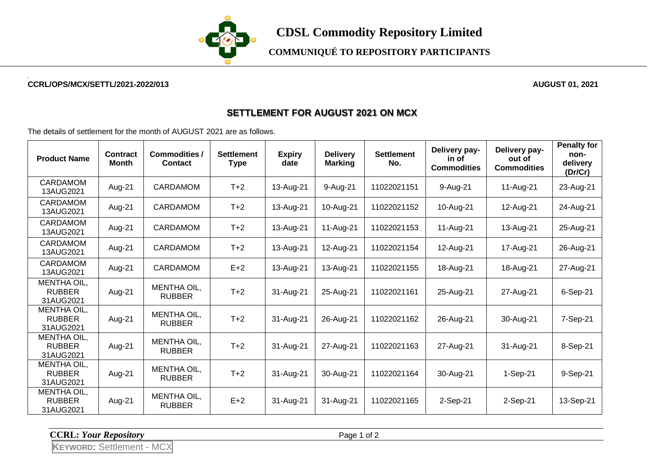

**COMMUNIQUÉ TO REPOSITORY PARTICIPANTS**

## **CCRL/OPS/MCX/SETTL/2021-2022/013 AUGUST 01, 2021**

## **SETTLEMENT FOR AUGUST 2021 ON MCX**

The details of settlement for the month of AUGUST 2021 are as follows.

| <b>Product Name</b>                              | <b>Contract</b><br>Month | <b>Commodities /</b><br><b>Contact</b> | <b>Settlement</b><br><b>Type</b> | <b>Expiry</b><br>date | <b>Delivery</b><br><b>Marking</b> | <b>Settlement</b><br>No. | Delivery pay-<br>in of<br><b>Commodities</b> | Delivery pay-<br>out of<br><b>Commodities</b> | <b>Penalty for</b><br>non-<br>delivery<br>(Dr/Cr) |
|--------------------------------------------------|--------------------------|----------------------------------------|----------------------------------|-----------------------|-----------------------------------|--------------------------|----------------------------------------------|-----------------------------------------------|---------------------------------------------------|
| <b>CARDAMOM</b><br>13AUG2021                     | Aug-21                   | <b>CARDAMOM</b>                        | $T+2$                            | 13-Aug-21             | 9-Aug-21                          | 11022021151              | 9-Aug-21                                     | 11-Aug-21                                     | 23-Aug-21                                         |
| <b>CARDAMOM</b><br>13AUG2021                     | Aug-21                   | <b>CARDAMOM</b>                        | $T+2$                            | 13-Aug-21             | 10-Aug-21                         | 11022021152              | 10-Aug-21                                    | 12-Aug-21                                     | 24-Aug-21                                         |
| <b>CARDAMOM</b><br>13AUG2021                     | Aug-21                   | <b>CARDAMOM</b>                        | $T+2$                            | 13-Aug-21             | 11-Aug-21                         | 11022021153              | 11-Aug-21                                    | 13-Aug-21                                     | 25-Aug-21                                         |
| <b>CARDAMOM</b><br>13AUG2021                     | Aug-21                   | <b>CARDAMOM</b>                        | $T+2$                            | 13-Aug-21             | 12-Aug-21                         | 11022021154              | 12-Aug-21                                    | 17-Aug-21                                     | 26-Aug-21                                         |
| <b>CARDAMOM</b><br>13AUG2021                     | Aug-21                   | <b>CARDAMOM</b>                        | $E+2$                            | 13-Aug-21             | 13-Aug-21                         | 11022021155              | 18-Aug-21                                    | 18-Aug-21                                     | 27-Aug-21                                         |
| <b>MENTHA OIL,</b><br><b>RUBBER</b><br>31AUG2021 | Aug-21                   | MENTHA OIL,<br><b>RUBBER</b>           | $T+2$                            | 31-Aug-21             | 25-Aug-21                         | 11022021161              | 25-Aug-21                                    | 27-Aug-21                                     | 6-Sep-21                                          |
| <b>MENTHA OIL,</b><br><b>RUBBER</b><br>31AUG2021 | Aug-21                   | <b>MENTHA OIL.</b><br><b>RUBBER</b>    | $T+2$                            | 31-Aug-21             | 26-Aug-21                         | 11022021162              | 26-Aug-21                                    | 30-Aug-21                                     | 7-Sep-21                                          |
| MENTHA OIL,<br><b>RUBBER</b><br>31AUG2021        | Aug-21                   | MENTHA OIL,<br><b>RUBBER</b>           | $T+2$                            | 31-Aug-21             | 27-Aug-21                         | 11022021163              | 27-Aug-21                                    | 31-Aug-21                                     | 8-Sep-21                                          |
| MENTHA OIL,<br><b>RUBBER</b><br>31AUG2021        | Aug-21                   | MENTHA OIL,<br><b>RUBBER</b>           | $T+2$                            | 31-Aug-21             | 30-Aug-21                         | 11022021164              | 30-Aug-21                                    | $1-Sep-21$                                    | 9-Sep-21                                          |
| MENTHA OIL,<br><b>RUBBER</b><br>31AUG2021        | Aug-21                   | MENTHA OIL,<br><b>RUBBER</b>           | $E+2$                            | 31-Aug-21             | 31-Aug-21                         | 11022021165              | 2-Sep-21                                     | $2-Sep-21$                                    | 13-Sep-21                                         |

**CCRL:** *Your Repository* Page 1 of 2

**KEYWORD:** Settlement - MCX